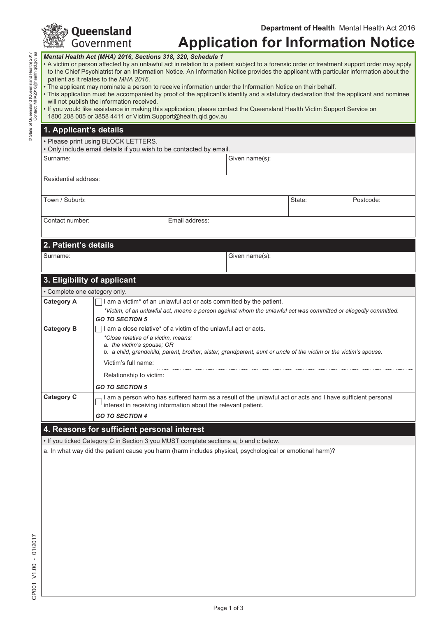| <b>Solueensland</b><br>See Government |
|---------------------------------------|
|                                       |

# **Application for Information Notice**

*Mental Health Act (MHA) 2016, Sections 318, 320, Schedule 1* 

- A victim or person affected by an unlawful act in relation to a patient subject to a forensic order or treatment support order may apply to the Chief Psychiatrist for an Information Notice. An Information Notice provides the applicant with particular information about the patient as it relates to the *MHA 2016*.
- The applicant may nominate a person to receive information under the Information Notice on their behalf.
- This application must be accompanied by proof of the applicant's identity and a statutory declaration that the applicant and nominee will not publish the information received.

|  | • If you would like assistance in making this application, please contact the Queensland Health Victim Support Service on |  |  |
|--|---------------------------------------------------------------------------------------------------------------------------|--|--|
|  | 1800 208 005 or 3858 4411 or Victim.Support@health.qld.gov.au                                                             |  |  |

#### **1. Applicant's details**

• Please print using BLOCK LETTERS.

• Only include email details if you wish to be contacted by email.

Surname: Given name(s):

Residential address:

Town / Suburb: Suburb: State: State: State: State: State: State: State: State: State: State: State: State: State: State: State: State: State: State: State: State: State: State: State: State: State: State: State: State: Sta

Contact number: **Email address:** 

#### **2. Patient's details**

Surname: Given name(s):

#### **3. Eligibility of applicant**

| . Complete one category only                                                       |                                                                                                                                                                             |  |  |  |  |  |  |
|------------------------------------------------------------------------------------|-----------------------------------------------------------------------------------------------------------------------------------------------------------------------------|--|--|--|--|--|--|
| <b>Category A</b>                                                                  | I am a victim <sup>*</sup> of an unlawful act or acts committed by the patient.                                                                                             |  |  |  |  |  |  |
|                                                                                    | *Victim, of an unlawful act, means a person against whom the unlawful act was committed or allegedly committed.                                                             |  |  |  |  |  |  |
|                                                                                    | <b>GO TO SECTION 5</b>                                                                                                                                                      |  |  |  |  |  |  |
| am a close relative* of a victim of the unlawful act or acts.<br><b>Category B</b> |                                                                                                                                                                             |  |  |  |  |  |  |
|                                                                                    | *Close relative of a victim, means:                                                                                                                                         |  |  |  |  |  |  |
|                                                                                    | a. the victim's spouse: OR                                                                                                                                                  |  |  |  |  |  |  |
|                                                                                    | b. a child, grandchild, parent, brother, sister, grandparent, aunt or uncle of the victim or the victim's spouse.                                                           |  |  |  |  |  |  |
|                                                                                    | Victim's full name:                                                                                                                                                         |  |  |  |  |  |  |
|                                                                                    | Relationship to victim.                                                                                                                                                     |  |  |  |  |  |  |
|                                                                                    | <b>GO TO SECTION 5</b>                                                                                                                                                      |  |  |  |  |  |  |
| <b>Category C</b>                                                                  | I am a person who has suffered harm as a result of the unlawful act or acts and I have sufficient personal<br>interest in receiving information about the relevant patient. |  |  |  |  |  |  |
|                                                                                    | <b>GO TO SECTION 4</b>                                                                                                                                                      |  |  |  |  |  |  |
| 4. Reasons for sufficient personal interest                                        |                                                                                                                                                                             |  |  |  |  |  |  |

• If you ticked Category C in Section 3 you MUST complete sections a, b and c below.

a. In what way did the patient cause you harm (harm includes physical, psychological or emotional harm)?

۹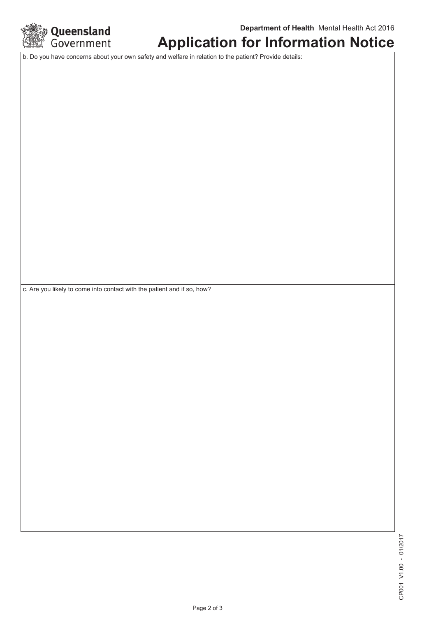

## **Application for Information Notice**

b. Do you have concerns about your own safety and welfare in relation to the patient? Provide details:

c. Are you likely to come into contact with the patient and if so, how?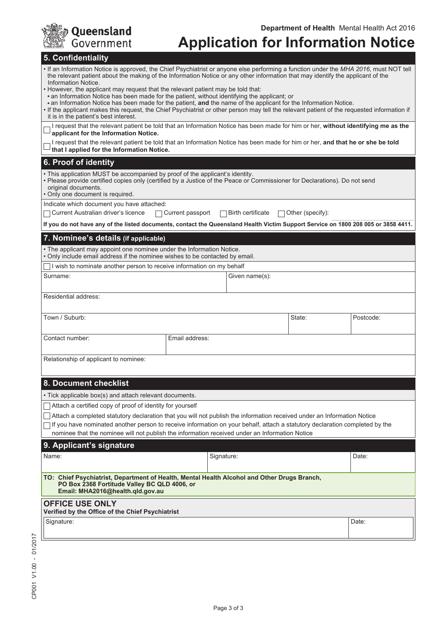| <b>See Queensland</b> |
|-----------------------|
|                       |

# **Application for Information Notice**

#### **5. Confidentiality**

| <b>J. COMMUTHUAILY</b><br>. If an Information Notice is approved, the Chief Psychiatrist or anyone else performing a function under the MHA 2016, must NOT tell<br>the relevant patient about the making of the Information Notice or any other information that may identify the applicant of the<br>Information Notice.<br>. However, the applicant may request that the relevant patient may be told that:<br>. an Information Notice has been made for the patient, without identifying the applicant; or<br>. an Information Notice has been made for the patient, and the name of the applicant for the Information Notice.<br>. If the applicant makes this request, the Chief Psychiatrist or other person may tell the relevant patient of the requested information if<br>it is in the patient's best interest.<br>I request that the relevant patient be told that an Information Notice has been made for him or her, without identifying me as the |                         |                   |                         |           |  |
|-----------------------------------------------------------------------------------------------------------------------------------------------------------------------------------------------------------------------------------------------------------------------------------------------------------------------------------------------------------------------------------------------------------------------------------------------------------------------------------------------------------------------------------------------------------------------------------------------------------------------------------------------------------------------------------------------------------------------------------------------------------------------------------------------------------------------------------------------------------------------------------------------------------------------------------------------------------------|-------------------------|-------------------|-------------------------|-----------|--|
| applicant for the Information Notice.<br>I request that the relevant patient be told that an Information Notice has been made for him or her, and that he or she be told<br>that I applied for the Information Notice.                                                                                                                                                                                                                                                                                                                                                                                                                                                                                                                                                                                                                                                                                                                                          |                         |                   |                         |           |  |
| 6. Proof of identity                                                                                                                                                                                                                                                                                                                                                                                                                                                                                                                                                                                                                                                                                                                                                                                                                                                                                                                                            |                         |                   |                         |           |  |
| . This application MUST be accompanied by proof of the applicant's identity.<br>• Please provide certified copies only (certified by a Justice of the Peace or Commissioner for Declarations). Do not send<br>original documents.<br>· Only one document is required.                                                                                                                                                                                                                                                                                                                                                                                                                                                                                                                                                                                                                                                                                           |                         |                   |                         |           |  |
| Indicate which document you have attached:                                                                                                                                                                                                                                                                                                                                                                                                                                                                                                                                                                                                                                                                                                                                                                                                                                                                                                                      |                         |                   |                         |           |  |
| Current Australian driver's licence                                                                                                                                                                                                                                                                                                                                                                                                                                                                                                                                                                                                                                                                                                                                                                                                                                                                                                                             | $\Box$ Current passport | Birth certificate | $\Box$ Other (specify): |           |  |
| If you do not have any of the listed documents, contact the Queensland Health Victim Support Service on 1800 208 005 or 3858 4411.                                                                                                                                                                                                                                                                                                                                                                                                                                                                                                                                                                                                                                                                                                                                                                                                                              |                         |                   |                         |           |  |
| 7. Nominee's details (if applicable)                                                                                                                                                                                                                                                                                                                                                                                                                                                                                                                                                                                                                                                                                                                                                                                                                                                                                                                            |                         |                   |                         |           |  |
| • The applicant may appoint one nominee under the Information Notice.<br>. Only include email address if the nominee wishes to be contacted by email.                                                                                                                                                                                                                                                                                                                                                                                                                                                                                                                                                                                                                                                                                                                                                                                                           |                         |                   |                         |           |  |
| I wish to nominate another person to receive information on my behalf                                                                                                                                                                                                                                                                                                                                                                                                                                                                                                                                                                                                                                                                                                                                                                                                                                                                                           |                         |                   |                         |           |  |
| Surname:                                                                                                                                                                                                                                                                                                                                                                                                                                                                                                                                                                                                                                                                                                                                                                                                                                                                                                                                                        |                         | Given name(s):    |                         |           |  |
| Residential address:                                                                                                                                                                                                                                                                                                                                                                                                                                                                                                                                                                                                                                                                                                                                                                                                                                                                                                                                            |                         |                   |                         |           |  |
| Town / Suburb:                                                                                                                                                                                                                                                                                                                                                                                                                                                                                                                                                                                                                                                                                                                                                                                                                                                                                                                                                  |                         |                   | State:                  | Postcode: |  |
| Contact number:                                                                                                                                                                                                                                                                                                                                                                                                                                                                                                                                                                                                                                                                                                                                                                                                                                                                                                                                                 | Email address:          |                   |                         |           |  |
| Relationship of applicant to nominee:                                                                                                                                                                                                                                                                                                                                                                                                                                                                                                                                                                                                                                                                                                                                                                                                                                                                                                                           |                         |                   |                         |           |  |
| 8. Document checklist                                                                                                                                                                                                                                                                                                                                                                                                                                                                                                                                                                                                                                                                                                                                                                                                                                                                                                                                           |                         |                   |                         |           |  |
| • Tick applicable box(s) and attach relevant documents.                                                                                                                                                                                                                                                                                                                                                                                                                                                                                                                                                                                                                                                                                                                                                                                                                                                                                                         |                         |                   |                         |           |  |
| Attach a certified copy of proof of identity for yourself                                                                                                                                                                                                                                                                                                                                                                                                                                                                                                                                                                                                                                                                                                                                                                                                                                                                                                       |                         |                   |                         |           |  |
| Attach a completed statutory declaration that you will not publish the information received under an Information Notice                                                                                                                                                                                                                                                                                                                                                                                                                                                                                                                                                                                                                                                                                                                                                                                                                                         |                         |                   |                         |           |  |
| If you have nominated another person to receive information on your behalf, attach a statutory declaration completed by the<br>nominee that the nominee will not publish the information received under an Information Notice                                                                                                                                                                                                                                                                                                                                                                                                                                                                                                                                                                                                                                                                                                                                   |                         |                   |                         |           |  |
| 9. Applicant's signature                                                                                                                                                                                                                                                                                                                                                                                                                                                                                                                                                                                                                                                                                                                                                                                                                                                                                                                                        |                         |                   |                         |           |  |
| Name:                                                                                                                                                                                                                                                                                                                                                                                                                                                                                                                                                                                                                                                                                                                                                                                                                                                                                                                                                           |                         | Signature:        |                         | Date:     |  |
| TO: Chief Psychiatrist, Department of Health, Mental Health Alcohol and Other Drugs Branch,<br>PO Box 2368 Fortitude Valley BC QLD 4006, or<br>Email: MHA2016@health.qld.gov.au                                                                                                                                                                                                                                                                                                                                                                                                                                                                                                                                                                                                                                                                                                                                                                                 |                         |                   |                         |           |  |
| <b>OFFICE USE ONLY</b><br>Verified by the Office of the Chief Psychiatrist                                                                                                                                                                                                                                                                                                                                                                                                                                                                                                                                                                                                                                                                                                                                                                                                                                                                                      |                         |                   |                         |           |  |
| Signature:                                                                                                                                                                                                                                                                                                                                                                                                                                                                                                                                                                                                                                                                                                                                                                                                                                                                                                                                                      |                         |                   |                         | Date:     |  |
|                                                                                                                                                                                                                                                                                                                                                                                                                                                                                                                                                                                                                                                                                                                                                                                                                                                                                                                                                                 |                         |                   |                         |           |  |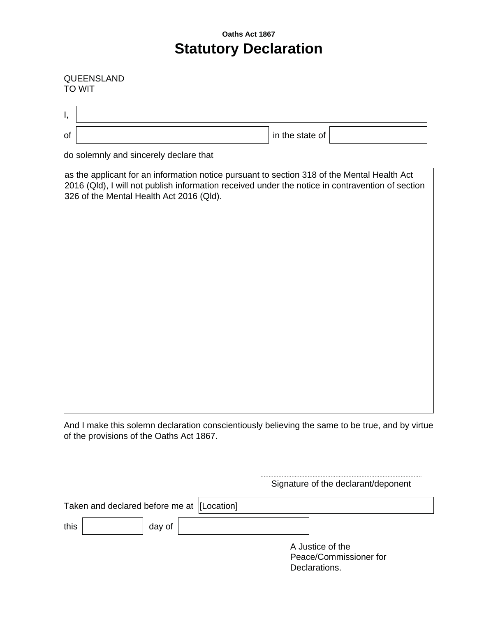## **Oaths Act 1867 Statutory Declaration**

#### QUEENSLAND TO WIT

| Ι, |                                                                                                                                                                                                                                             |
|----|---------------------------------------------------------------------------------------------------------------------------------------------------------------------------------------------------------------------------------------------|
| of | in the state of                                                                                                                                                                                                                             |
|    | do solemnly and sincerely declare that                                                                                                                                                                                                      |
|    | as the applicant for an information notice pursuant to section 318 of the Mental Health Act<br>2016 (Qld), I will not publish information received under the notice in contravention of section<br>326 of the Mental Health Act 2016 (Qld). |
|    |                                                                                                                                                                                                                                             |
|    |                                                                                                                                                                                                                                             |
|    |                                                                                                                                                                                                                                             |
|    |                                                                                                                                                                                                                                             |
|    |                                                                                                                                                                                                                                             |
|    |                                                                                                                                                                                                                                             |
|    |                                                                                                                                                                                                                                             |

And I make this solemn declaration conscientiously believing the same to be true, and by virtue of the provisions of the Oaths Act 1867.

...................................................................................................

|      |                                            |        | Signature of the declarant/deponent        |  |
|------|--------------------------------------------|--------|--------------------------------------------|--|
|      | Taken and declared before me at [Location] |        |                                            |  |
| this |                                            | day of |                                            |  |
|      |                                            |        | A Justice of the<br>Peace/Commissioner for |  |
|      |                                            |        | Declarations.                              |  |